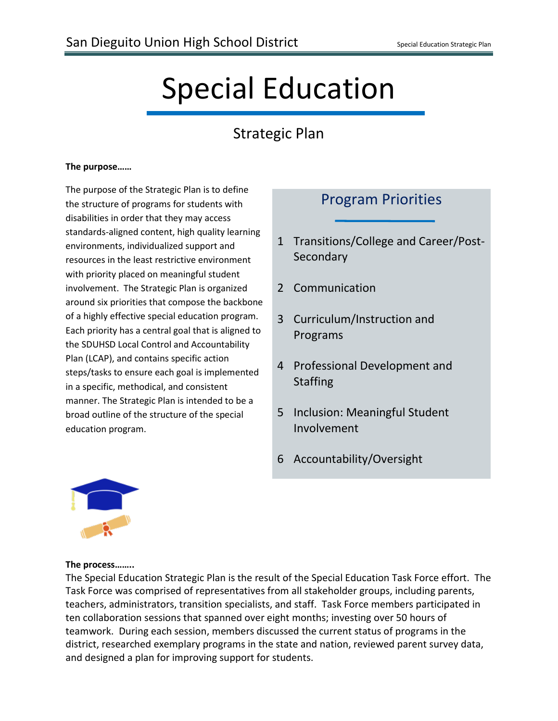# Special Education

## Strategic Plan

#### **The purpose……**

The purpose of the Strategic Plan is to define the structure of programs for students with disabilities in order that they may access standards-aligned content, high quality learning environments, individualized support and resources in the least restrictive environment with priority placed on meaningful student involvement. The Strategic Plan is organized around six priorities that compose the backbone of a highly effective special education program. Each priority has a central goal that is aligned to the SDUHSD Local Control and Accountability Plan (LCAP), and contains specific action steps/tasks to ensure each goal is implemented in a specific, methodical, and consistent manner. The Strategic Plan is intended to be a broad outline of the structure of the special education program.

## Program Priorities

- 1 Transitions/College and Career/Post-Secondary
- 2 Communication
- 3 Curriculum/Instruction and Programs
- 4 Professional Development and Staffing
- 5 Inclusion: Meaningful Student Involvement
- 6 Accountability/Oversight



#### **The process……..**

The Special Education Strategic Plan is the result of the Special Education Task Force effort. The Task Force was comprised of representatives from all stakeholder groups, including parents, teachers, administrators, transition specialists, and staff. Task Force members participated in ten collaboration sessions that spanned over eight months; investing over 50 hours of teamwork. During each session, members discussed the current status of programs in the district, researched exemplary programs in the state and nation, reviewed parent survey data, and designed a plan for improving support for students.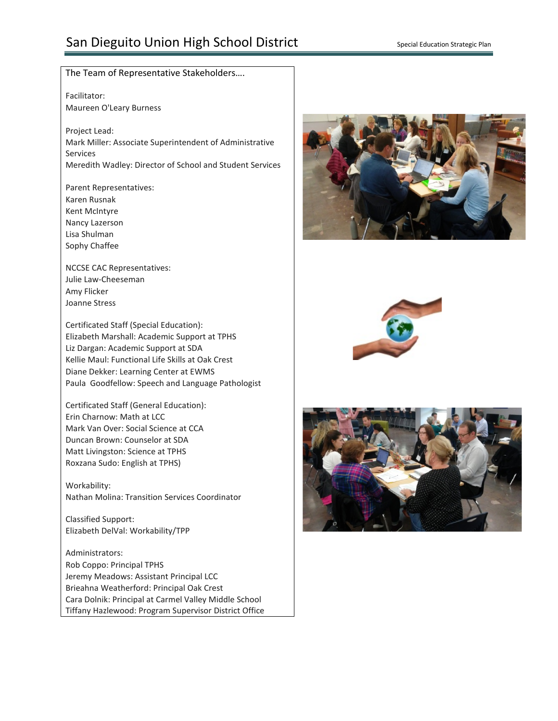## San Dieguito Union High School District Special Education Strategic Plan

#### The Team of Representative Stakeholders….

Facilitator: Maureen O'Leary Burness

Project Lead: Mark Miller: Associate Superintendent of Administrative Services Meredith Wadley: Director of School and Student Services

Parent Representatives: Karen Rusnak Kent McIntyre Nancy Lazerson Lisa Shulman Sophy Chaffee

NCCSE CAC Representatives: Julie Law-Cheeseman Amy Flicker Joanne Stress

Certificated Staff (Special Education): Elizabeth Marshall: Academic Support at TPHS Liz Dargan: Academic Support at SDA Kellie Maul: Functional Life Skills at Oak Crest Diane Dekker: Learning Center at EWMS Paula Goodfellow: Speech and Language Pathologist

Certificated Staff (General Education): Erin Charnow: Math at LCC Mark Van Over: Social Science at CCA Duncan Brown: Counselor at SDA Matt Livingston: Science at TPHS Roxzana Sudo: English at TPHS)

Workability: Nathan Molina: Transition Services Coordinator

Classified Support: Elizabeth DelVal: Workability/TPP

Administrators: Rob Coppo: Principal TPHS Jeremy Meadows: Assistant Principal LCC Brieahna Weatherford: Principal Oak Crest Cara Dolnik: Principal at Carmel Valley Middle School Tiffany Hazlewood: Program Supervisor District Office





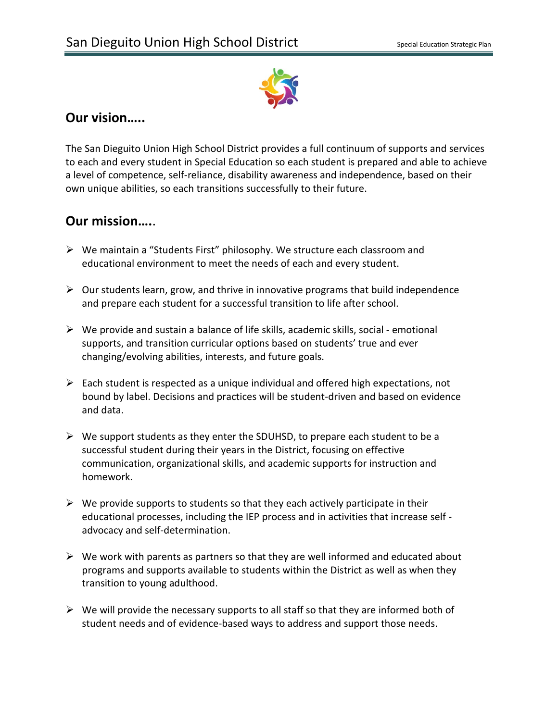

### **Our vision…..**

The San Dieguito Union High School District provides a full continuum of supports and services to each and every student in Special Education so each student is prepared and able to achieve a level of competence, self-reliance, disability awareness and independence, based on their own unique abilities, so each transitions successfully to their future.

## **Our mission….**.

- We maintain a "Students First" philosophy. We structure each classroom and educational environment to meet the needs of each and every student.
- $\triangleright$  Our students learn, grow, and thrive in innovative programs that build independence and prepare each student for a successful transition to life after school.
- $\triangleright$  We provide and sustain a balance of life skills, academic skills, social emotional supports, and transition curricular options based on students' true and ever changing/evolving abilities, interests, and future goals.
- $\triangleright$  Each student is respected as a unique individual and offered high expectations, not bound by label. Decisions and practices will be student-driven and based on evidence and data.
- $\triangleright$  We support students as they enter the SDUHSD, to prepare each student to be a successful student during their years in the District, focusing on effective communication, organizational skills, and academic supports for instruction and homework.
- $\triangleright$  We provide supports to students so that they each actively participate in their educational processes, including the IEP process and in activities that increase self advocacy and self-determination.
- $\triangleright$  We work with parents as partners so that they are well informed and educated about programs and supports available to students within the District as well as when they transition to young adulthood.
- $\triangleright$  We will provide the necessary supports to all staff so that they are informed both of student needs and of evidence-based ways to address and support those needs.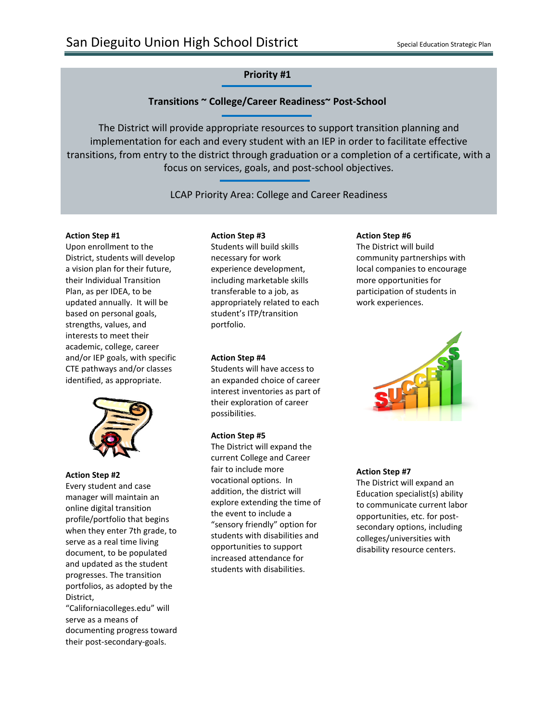#### **Transitions ~ College/Career Readiness~ Post-School**

The District will provide appropriate resources to support transition planning and implementation for each and every student with an IEP in order to facilitate effective transitions, from entry to the district through graduation or a completion of a certificate, with a focus on services, goals, and post-school objectives.

LCAP Priority Area: College and Career Readiness

#### **Action Step #1**

Upon enrollment to the District, students will develop a vision plan for their future, their Individual Transition Plan, as per IDEA, to be updated annually. It will be based on personal goals, strengths, values, and interests to meet their academic, college, career and/or IEP goals, with specific CTE pathways and/or classes identified, as appropriate.



#### **Action Step #2**

Every student and case manager will maintain an online digital transition profile/portfolio that begins when they enter 7th grade, to serve as a real time living document, to be populated and updated as the student progresses. The transition portfolios, as adopted by the District,

"Californiacolleges.edu" will serve as a means of documenting progress toward their post-secondary-goals.

#### **Action Step #3**

Students will build skills necessary for work experience development, including marketable skills transferable to a job, as appropriately related to each student's ITP/transition portfolio.

#### **Action Step #4**

Students will have access to an expanded choice of career interest inventories as part of their exploration of career possibilities.

#### **Action Step #5**

The District will expand the current College and Career fair to include more vocational options. In addition, the district will explore extending the time of the event to include a "sensory friendly" option for students with disabilities and opportunities to support increased attendance for students with disabilities.

#### **Action Step #6**

The District will build community partnerships with local companies to encourage more opportunities for participation of students in work experiences.



#### **Action Step #7**

The District will expand an Education specialist(s) ability to communicate current labor opportunities, etc. for postsecondary options, including colleges/universities with disability resource centers.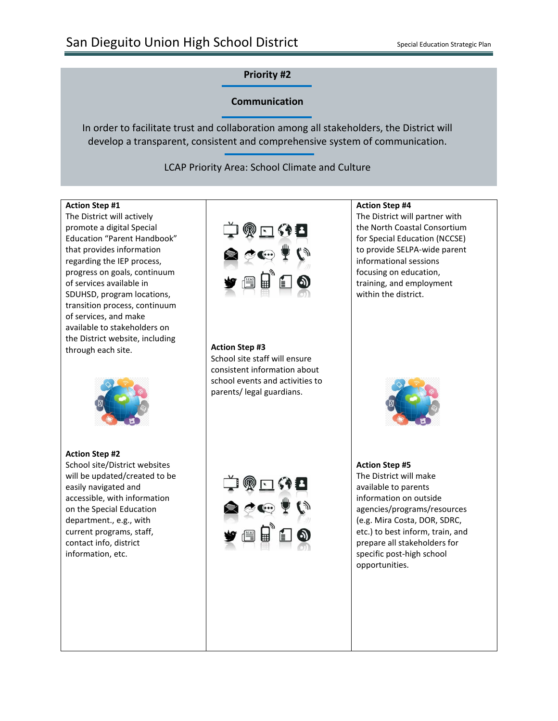#### **Communication**

In order to facilitate trust and collaboration among all stakeholders, the District will develop a transparent, consistent and comprehensive system of communication.

LCAP Priority Area: School Climate and Culture

#### **Action Step #1**

The District will actively promote a digital Special Education "Parent Handbook" that provides information regarding the IEP process, progress on goals, continuum of services available in SDUHSD, program locations, transition process, continuum of services, and make available to stakeholders on the District website, including through each site.



**Action Step #2** School site/District websites will be updated/created to be easily navigated and accessible, with information on the Special Education department., e.g., with current programs, staff, contact info, district information, etc.



#### **Action Step #3**

School site staff will ensure consistent information about school events and activities to parents/ legal guardians.

#### **Action Step #4**

The District will partner with the North Coastal Consortium for Special Education (NCCSE) to provide SELPA-wide parent informational sessions focusing on education, training, and employment within the district.



#### **Action Step #5** The District will make available to parents information on outside agencies/programs/resources (e.g. Mira Costa, DOR, SDRC, etc.) to best inform, train, and prepare all stakeholders for specific post-high school opportunities.

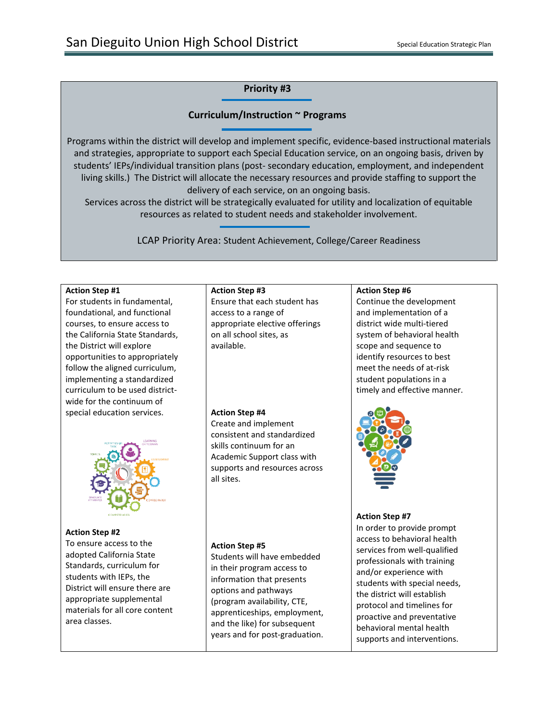#### **Curriculum/Instruction ~ Programs**

Programs within the district will develop and implement specific, evidence-based instructional materials and strategies, appropriate to support each Special Education service, on an ongoing basis, driven by students' IEPs/individual transition plans (post- secondary education, employment, and independent living skills.) The District will allocate the necessary resources and provide staffing to support the delivery of each service, on an ongoing basis.

Services across the district will be strategically evaluated for utility and localization of equitable resources as related to student needs and stakeholder involvement.

LCAP Priority Area: Student Achievement, College/Career Readiness

#### **Action Step #1**

For students in fundamental, foundational, and functional courses, to ensure access to the California State Standards, the District will explore opportunities to appropriately follow the aligned curriculum, implementing a standardized curriculum to be used districtwide for the continuum of special education services.



#### **Action Step #2**

To ensure access to the adopted California State Standards, curriculum for students with IEPs, the District will ensure there are appropriate supplemental materials for all core content area classes.

#### **Action Step #3**

Ensure that each student has access to a range of appropriate elective offerings on all school sites, as available.

#### **Action Step #4**

Create and implement consistent and standardized skills continuum for an Academic Support class with supports and resources across all sites.

#### **Action Step #5**

Students will have embedded in their program access to information that presents options and pathways (program availability, CTE, apprenticeships, employment, and the like) for subsequent years and for post-graduation.

#### **Action Step #6**

Continue the development and implementation of a district wide multi-tiered system of behavioral health scope and sequence to identify resources to best meet the needs of at-risk student populations in a timely and effective manner.



#### **Action Step #7**

In order to provide prompt access to behavioral health services from well-qualified professionals with training and/or experience with students with special needs, the district will establish protocol and timelines for proactive and preventative behavioral mental health supports and interventions.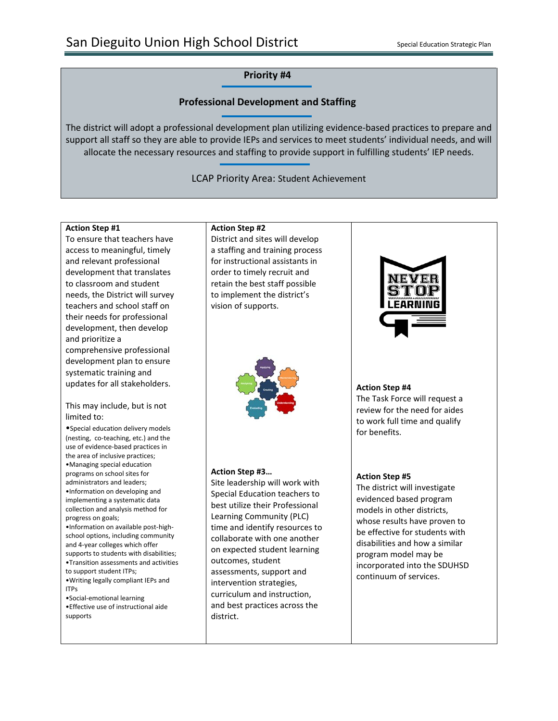#### **Professional Development and Staffing**

The district will adopt a professional development plan utilizing evidence-based practices to prepare and support all staff so they are able to provide IEPs and services to meet students' individual needs, and will allocate the necessary resources and staffing to provide support in fulfilling students' IEP needs.

LCAP Priority Area: Student Achievement

#### **Action Step #1**

To ensure that teachers have access to meaningful, timely and relevant professional development that translates to classroom and student needs, the District will survey teachers and school staff on their needs for professional development, then develop and prioritize a comprehensive professional development plan to ensure systematic training and updates for all stakeholders.

#### This may include, but is not limited to:

•Special education delivery models (nesting, co-teaching, etc.) and the use of evidence-based practices in the area of inclusive practices; •Managing special education programs on school sites for administrators and leaders; •Information on developing and implementing a systematic data collection and analysis method for progress on goals; •Information on available post-highschool options, including community and 4-year colleges which offer supports to students with disabilities; •Transition assessments and activities to support student ITPs; •Writing legally compliant IEPs and

- ITPs
- •Social-emotional learning

•Effective use of instructional aide supports

#### **Action Step #2**

District and sites will develop a staffing and training process for instructional assistants in order to timely recruit and retain the best staff possible to implement the district's vision of supports.



#### **Action Step #3…**

Site leadership will work with Special Education teachers to best utilize their Professional Learning Community (PLC) time and identify resources to collaborate with one another on expected student learning outcomes, student assessments, support and intervention strategies, curriculum and instruction, and best practices across the district.



#### **Action Step #4**

The Task Force will request a review for the need for aides to work full time and qualify for benefits.

#### **Action Step #5**

The district will investigate evidenced based program models in other districts, whose results have proven to be effective for students with disabilities and how a similar program model may be incorporated into the SDUHSD continuum of services.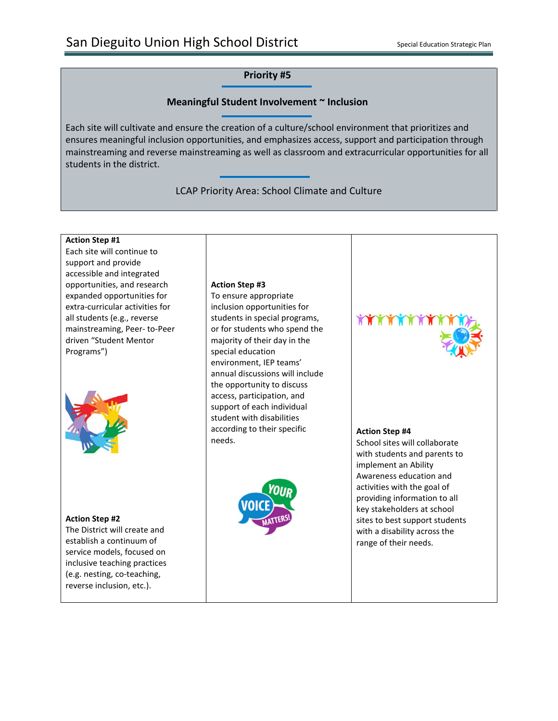#### **Meaningful Student Involvement ~ Inclusion**

Each site will cultivate and ensure the creation of a culture/school environment that prioritizes and ensures meaningful inclusion opportunities, and emphasizes access, support and participation through mainstreaming and reverse mainstreaming as well as classroom and extracurricular opportunities for all students in the district.

LCAP Priority Area: School Climate and Culture

#### **Action Step #1**

Each site will continue to support and provide accessible and integrated opportunities, and research expanded opportunities for extra-curricular activities for all students (e.g., reverse mainstreaming, Peer- to-Peer driven "Student Mentor Programs")



#### **Action Step #2**

The District will create and establish a continuum of service models, focused on inclusive teaching practices (e.g. nesting, co-teaching, reverse inclusion, etc.).

#### **Action Step #3**

To ensure appropriate inclusion opportunities for students in special programs, or for students who spend the majority of their day in the special education environment, IEP teams' annual discussions will include the opportunity to discuss access, participation, and support of each individual student with disabilities according to their specific needs.



**TATALLA** 

#### **Action Step #4**

School sites will collaborate with students and parents to implement an Ability Awareness education and activities with the goal of providing information to all key stakeholders at school sites to best support students with a disability across the range of their needs.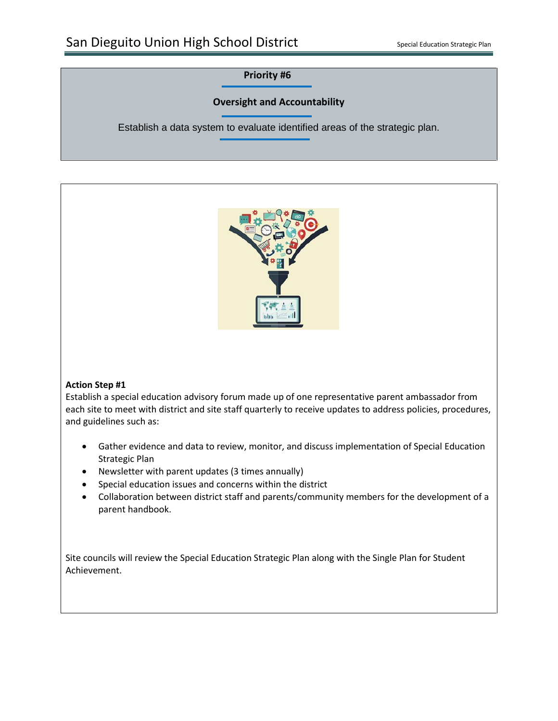### **Oversight and Accountability**

Establish a data system to evaluate identified areas of the strategic plan.



#### **Action Step #1**

Establish a special education advisory forum made up of one representative parent ambassador from each site to meet with district and site staff quarterly to receive updates to address policies, procedures, and guidelines such as:

- Gather evidence and data to review, monitor, and discuss implementation of Special Education Strategic Plan
- Newsletter with parent updates (3 times annually)
- Special education issues and concerns within the district
- Collaboration between district staff and parents/community members for the development of a parent handbook.

Site councils will review the Special Education Strategic Plan along with the Single Plan for Student Achievement.